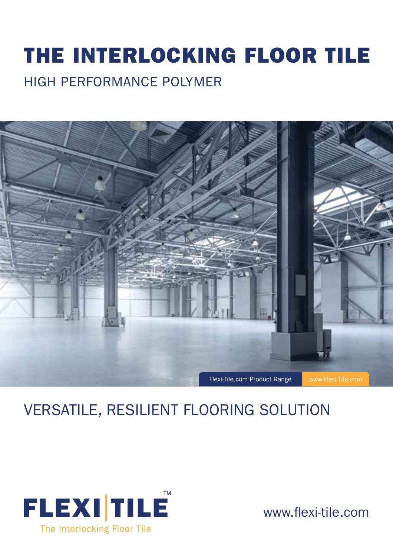# THE INTERLOCKING FLOOR TILE HIGH PERFORMANCE POLYMER



## VERSATILE, RESILIENT FLOORING SOLUTION



www.flexi-tile.com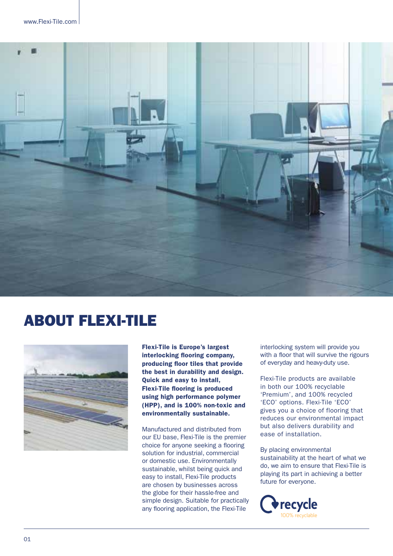

### ABOUT FLEXI-TILE



Flexi-Tile is Europe's largest interlocking flooring company, producing floor tiles that provide the best in durability and design. Quick and easy to install, Flexi-Tile flooring is produced using high performance polymer (HPP), and is 100% non-toxic and environmentally sustainable.

Manufactured and distributed from our EU base, Flexi-Tile is the premier choice for anyone seeking a flooring solution for industrial, commercial or domestic use. Environmentally sustainable, whilst being quick and easy to install, Flexi-Tile products are chosen by businesses across the globe for their hassle-free and simple design. Suitable for practically any fooring application, the Flexi-Tile

interlocking system will provide you with a floor that will survive the rigours of everyday and heavy-duty use.

Flexi-Tile products are available in both our 100% recyclable 'Premium', and 100% recycled 'ECO' options. Flexi-Tile 'ECO' gives you a choice of flooring that reduces our environmental impact but also delivers durability and ease of installation.

By placing environmental sustainability at the heart of what we do, we aim to ensure that Flexi-Tile is playing its part in achieving a better future for everyone.

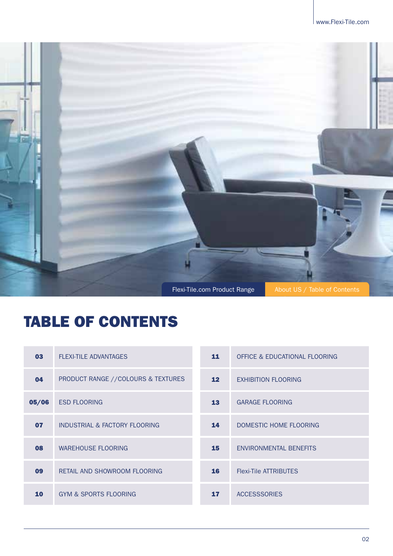

## TABLE OF CONTENTS

| 03    | <b>FLEXI-TILE ADVANTAGES</b>       | 11              | OFFICE & EDUCATIONAL FLOORING |
|-------|------------------------------------|-----------------|-------------------------------|
| 04    | PRODUCT RANGE //COLOURS & TEXTURES | 12 <sub>2</sub> | <b>EXHIBITION FLOORING</b>    |
| 05/06 | <b>ESD FLOORING</b>                | 13              | <b>GARAGE FLOORING</b>        |
| 07    | INDUSTRIAL & FACTORY FLOORING      | 14              | DOMESTIC HOME FLOORING        |
| 08    | <b>WAREHOUSE FLOORING</b>          | 15 <sub>1</sub> | ENVIRONMENTAL BENEFITS        |
| 09    | RETAIL AND SHOWROOM FLOORING       | 16              | <b>Flexi-Tile ATTRIBUTES</b>  |
| 10    | <b>GYM &amp; SPORTS FLOORING</b>   | 17              | <b>ACCESSSORIES</b>           |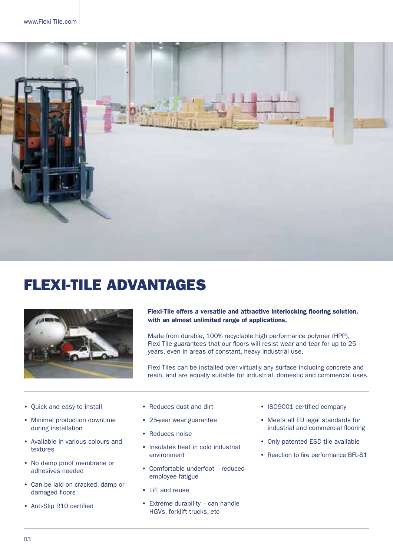

## FLEXI-TILE ADVANTAGES



Flexi-Tile offers a versatile and attractive interlocking flooring solution, with an almost unlimited range of applications.

Made from durable, 100% recyclable high performance polymer (HPP), Flexi-Tile guarantees that our floors will resist wear and tear for up to 25 years, even in areas of constant, heavy industrial use.

Flexi-Tiles can be installed over virtually any surface including concrete and resin, and are equally suitable for industrial, domestic and commercial uses.

- Quick and easy to install
- Minimal production downtime during installation
- Available in various colours and textures
- No damp proof membrane or adhesives needed
- Can be laid on cracked, damp or damaged floors
- Anti-Slip R10 certified
- Reduces dust and dirt
- 25-year wear guarantee
- Reduces noise
- Insulates heat in cold industrial environment
- Comfortable underfoot reduced employee fatigue
- Lift and reuse
- $\bullet$  Extreme durability can handle HGVs, forklift trucks, etc
- ISO9001 certified company
- Meets all EU legal standards for industrial and commercial flooring
- Only patented ESD tile available
- Reaction to fire performance BFL-S1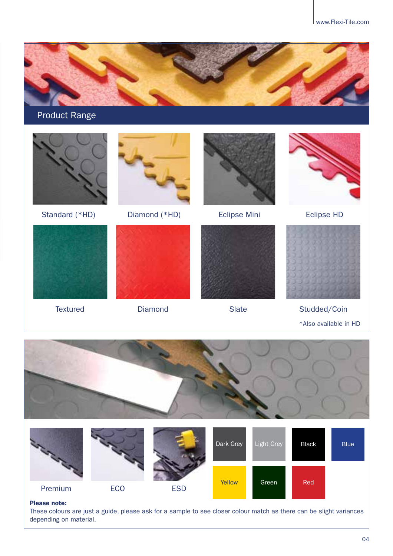

Product Range





Standard (\*HD) Diamond (\*HD) Eclipse Mini Eclipse HD













Textured Diamond Slate Studded/Coin \*Also available in HD



#### Please note:

These colours are just a guide, please ask for a sample to see closer colour match as there can be slight variances depending on material.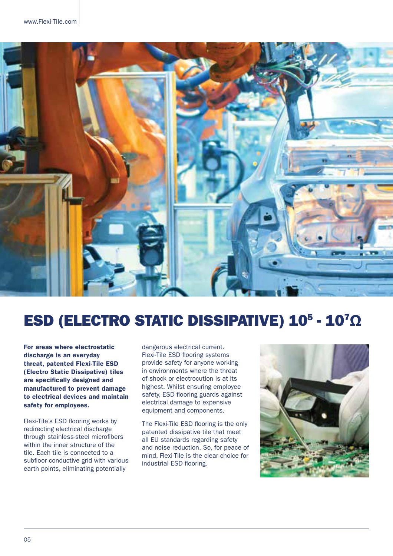

## ESD (ELECTRO STATIC DISSIPATIVE) 10<sup>5</sup> - 10<sup>7</sup>Ω

For areas where electrostatic discharge is an everyday threat, patented Flexi-Tile ESD (Electro Static Dissipative) tiles are specifically designed and manufactured to prevent damage to electrical devices and maintain safety for employees.

Flexi-Tile's ESD flooring works by redirecting electrical discharge through stainless-steel microfibers within the inner structure of the tile. Each tile is connected to a subfloor conductive grid with various earth points, eliminating potentially

dangerous electrical current. Flexi-Tile ESD flooring systems provide safety for anyone working in environments where the threat of shock or electrocution is at its highest. Whilst ensuring employee safety, ESD flooring guards against electrical damage to expensive equipment and components.

The Flexi-Tile ESD flooring is the only patented dissipative tile that meet all EU standards regarding safety and noise reduction. So, for peace of mind, Flexi-Tile is the clear choice for industrial ESD flooring.

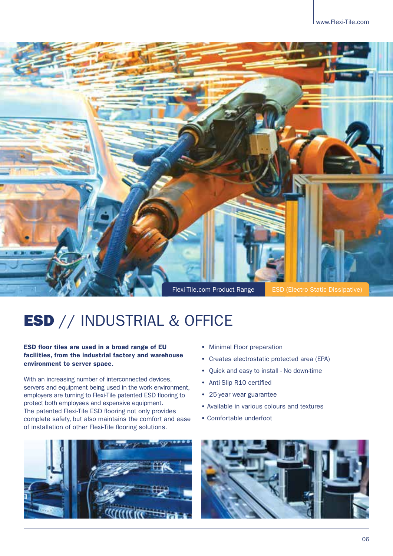

## ESD // INDUSTRIAL & OFFICE

#### ESD floor tiles are used in a broad range of EU facilities, from the industrial factory and warehouse environment to server space.

With an increasing number of interconnected devices, servers and equipment being used in the work environment, employers are turning to Flexi-Tile patented ESD flooring to protect both employees and expensive equipment. The patented Flexi-Tile ESD flooring not only provides complete safety, but also maintains the comfort and ease of installation of other Flexi-Tile fooring solutions.



- Minimal Floor preparation
- Creates electrostatic protected area (EPA)
- Quick and easy to install No down-time
- Anti-Slip R10 certified
- 25-year wear guarantee
- Available in various colours and textures
- Comfortable underfoot

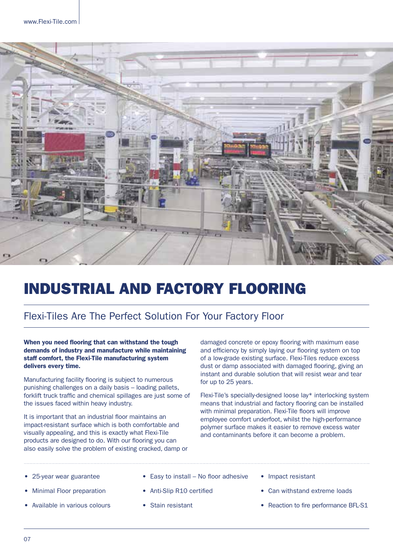

## INDUSTRIAL AND FACTORY FLOORING

### Flexi-Tiles Are The Perfect Solution For Your Factory Floor

#### When you need flooring that can withstand the tough demands of industry and manufacture while maintaining staff comfort, the Flexi-Tile manufacturing system delivers every time.

Manufacturing facility fooring is subject to numerous punishing challenges on a daily basis – loading pallets, forklift truck traffic and chemical spillages are just some of the issues faced within heavy industry.

It is important that an industrial floor maintains an impact-resistant surface which is both comfortable and visually appealing, and this is exactly what Flexi-Tile products are designed to do. With our flooring you can also easily solve the problem of existing cracked, damp or damaged concrete or epoxy flooring with maximum ease and efficiency by simply laying our flooring system on top of a low-grade existing surface. Flexi-Tiles reduce excess dust or damp associated with damaged flooring, giving an instant and durable solution that will resist wear and tear for up to 25 years.

Flexi-Tile's specially-designed loose lay\* interlocking system means that industrial and factory fooring can be installed with minimal preparation. Flexi-Tile floors will improve employee comfort underfoot, whilst the high-performance polymer surface makes it easier to remove excess water and contaminants before it can become a problem.

- 25-year wear guarantee
- **Minimal Floor preparation**
- Available in various colours
- $\bullet$  Easy to install No floor adhesive
- Anti-Slip R10 certified
- Stain resistant
- Impact resistant
- Can withstand extreme loads
- Reaction to fire performance BFL-S1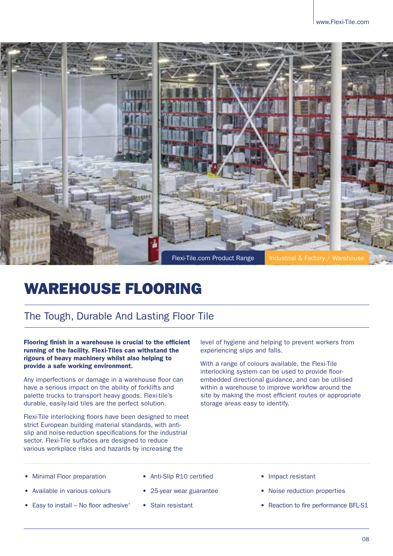

### WAREHOUSE FLOORING

### The Tough, Durable And Lasting Floor Tile

Flooring finish in a warehouse is crucial to the efficient running of the facility. Flexi-Tiles can withstand the rigours of heavy machinery whilst also helping to provide a safe working environment.

Any imperfections or damage in a warehouse floor can have a serious impact on the ability of forklifts and palette trucks to transport heavy goods. Flexi-tile's durable, easily-laid tiles are the perfect solution.

Flexi-Tile interlocking floors have been designed to meet strict European building material standards, with antislip and noise-reduction specifcations for the industrial sector. Flexi-Tile surfaces are designed to reduce various workplace risks and hazards by increasing the

level of hygiene and helping to prevent workers from experiencing slips and falls.

With a range of colours available, the Flexi-Tile interlocking system can be used to provide floorembedded directional guidance, and can be utilised within a warehouse to improve workflow around the site by making the most efficient routes or appropriate storage areas easy to identify.

- **Minimal Floor preparation**
- Available in various colours
- Easy to install No floor adhesive<sup>†</sup>
- Anti-Slip R10 certified
- 25-year wear guarantee
- Stain resistant
- Impact resistant
- Noise reduction properties
- Reaction to fire performance BFL-S1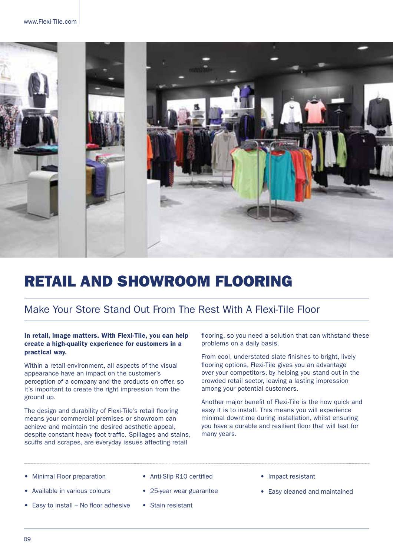

## RETAIL AND SHOWROOM FLOORING

### Make Your Store Stand Out From The Rest With A Flexi-Tile Floor

#### In retail, image matters. With Flexi-Tile, you can help create a high-quality experience for customers in a practical way.

Within a retail environment, all aspects of the visual appearance have an impact on the customer's perception of a company and the products on offer, so it's important to create the right impression from the ground up.

The design and durability of Flexi-Tile's retail flooring means your commercial premises or showroom can achieve and maintain the desired aesthetic appeal, despite constant heavy foot traffic. Spillages and stains, scuffs and scrapes, are everyday issues affecting retail

fooring, so you need a solution that can withstand these problems on a daily basis.

From cool, understated slate finishes to bright, lively fooring options, Flexi-Tile gives you an advantage over your competitors, by helping you stand out in the crowded retail sector, leaving a lasting impression among your potential customers.

Another major beneft of Flexi-Tile is the how quick and easy it is to install. This means you will experience minimal downtime during installation, whilst ensuring you have a durable and resilient floor that will last for many years.

- **Minimal Floor preparation**
- Anti-Slip R10 certified
- Available in various colours
- Easy to install  $-$  No floor adhesive
- 25-year wear guarantee
- Stain resistant
- Impact resistant
- Easy cleaned and maintained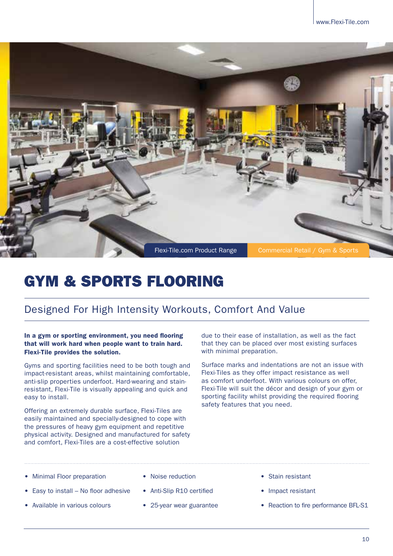

## GYM & SPORTS FLOORING

### Designed For High Intensity Workouts, Comfort And Value

In a gym or sporting environment, you need flooring that will work hard when people want to train hard. Flexi-Tile provides the solution.

Gyms and sporting facilities need to be both tough and impact-resistant areas, whilst maintaining comfortable, anti-slip properties underfoot. Hard-wearing and stainresistant, Flexi-Tile is visually appealing and quick and easy to install.

Offering an extremely durable surface, Flexi-Tiles are easily maintained and specially-designed to cope with the pressures of heavy gym equipment and repetitive physical activity. Designed and manufactured for safety and comfort, Flexi-Tiles are a cost-effective solution

due to their ease of installation, as well as the fact that they can be placed over most existing surfaces with minimal preparation.

Surface marks and indentations are not an issue with Flexi-Tiles as they offer impact resistance as well as comfort underfoot. With various colours on offer, Flexi-Tile will suit the décor and design of your gym or sporting facility whilst providing the required flooring safety features that you need.

- **Minimal Floor preparation**
- Easy to install  $-$  No floor adhesive
- Available in various colours
- Noise reduction
- Anti-Slip R10 certified
- 25-year wear guarantee
- Stain resistant
- Impact resistant
- Reaction to fire performance BFL-S1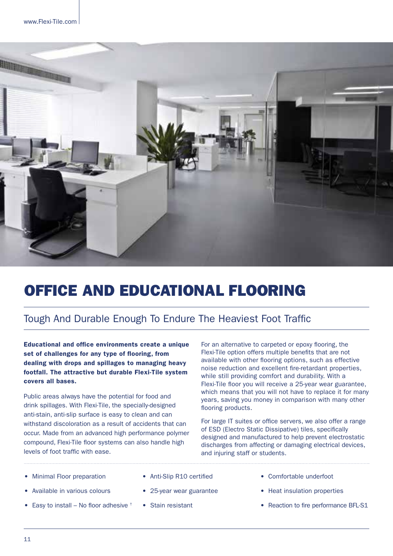

## OFFICE AND EDUCATIONAL FLOORING

### Tough And Durable Enough To Endure The Heaviest Foot Traffic

Educational and office environments create a unique set of challenges for any type of flooring, from dealing with drops and spillages to managing heavy footfall. The attractive but durable Flexi-Tile system covers all bases.

Public areas always have the potential for food and drink spillages. With Flexi-Tile, the specially-designed anti-stain, anti-slip surface is easy to clean and can withstand discoloration as a result of accidents that can occur. Made from an advanced high performance polymer compound, Flexi-Tile floor systems can also handle high levels of foot traffic with ease.

For an alternative to carpeted or epoxy flooring, the Flexi-Tile option offers multiple benefts that are not available with other flooring options, such as effective noise reduction and excellent fre-retardant properties, while still providing comfort and durability. With a Flexi-Tile floor you will receive a 25-year wear guarantee, which means that you will not have to replace it for many years, saving you money in comparison with many other flooring products.

For large IT suites or office servers, we also offer a range of ESD (Electro Static Dissipative) tiles, specifcally designed and manufactured to help prevent electrostatic discharges from affecting or damaging electrical devices, and injuring staff or students.

- Minimal Floor preparation
- Available in various colours
- Easy to install No floor adhesive  $<sup>†</sup>$ </sup>
- Anti-Slip R10 certified
- 25-year wear guarantee
- Stain resistant
- Comfortable underfoot
- Heat insulation properties
- Reaction to fire performance BFL-S1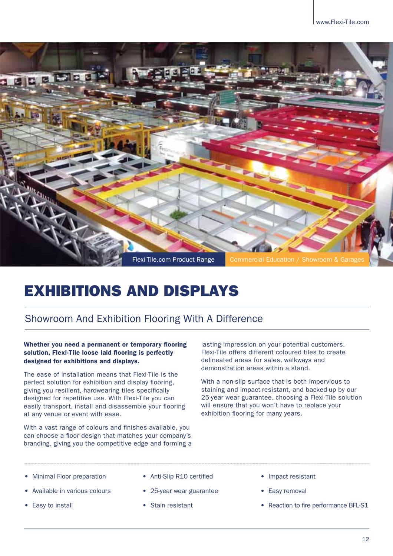

## EXHIBITIONS AND DISPLAYS

### Showroom And Exhibition Flooring With A Difference

#### Whether you need a permanent or temporary flooring solution, Flexi-Tile loose laid flooring is perfectly designed for exhibitions and displays.

The ease of installation means that Flexi-Tile is the perfect solution for exhibition and display fooring, giving you resilient, hardwearing tiles specifcally designed for repetitive use. With Flexi-Tile you can easily transport, install and disassemble your flooring at any venue or event with ease.

With a vast range of colours and finishes available, you can choose a floor design that matches your company's branding, giving you the competitive edge and forming a lasting impression on your potential customers. Flexi-Tile offers different coloured tiles to create delineated areas for sales, walkways and demonstration areas within a stand.

With a non-slip surface that is both impervious to staining and impact-resistant, and backed-up by our 25-year wear guarantee, choosing a Flexi-Tile solution will ensure that you won't have to replace your exhibition flooring for many years.

- **Minimal Floor preparation**
- Available in various colours
- Easy to install
- Anti-Slip R10 certified
- 25-year wear guarantee
- Stain resistant
- Impact resistant
- Easy removal
- Reaction to fire performance BFL-S1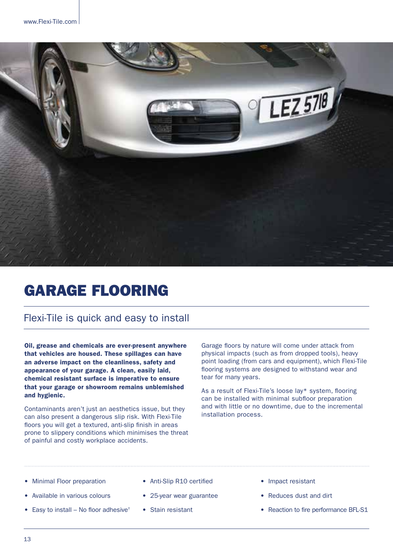

## GARAGE FLOORING

#### Flexi-Tile is quick and easy to install

Oil, grease and chemicals are ever-present anywhere that vehicles are housed. These spillages can have an adverse impact on the cleanliness, safety and appearance of your garage. A clean, easily laid, chemical resistant surface is imperative to ensure that your garage or showroom remains unblemished and hygienic.

Contaminants aren't just an aesthetics issue, but they can also present a dangerous slip risk. With Flexi-Tile floors you will get a textured, anti-slip finish in areas prone to slippery conditions which minimises the threat of painful and costly workplace accidents.

Garage floors by nature will come under attack from physical impacts (such as from dropped tools), heavy point loading (from cars and equipment), which Flexi-Tile fooring systems are designed to withstand wear and tear for many years.

As a result of Flexi-Tile's loose lay\* system, fooring can be installed with minimal subfloor preparation and with little or no downtime, due to the incremental installation process.

- Minimal Floor preparation
- Available in various colours
- Easy to install No floor adhesive<sup>†</sup>
- Anti-Slip R10 certified
- 25-year wear guarantee
- Stain resistant
- Impact resistant
- Reduces dust and dirt
- Reaction to fire performance BFL-S1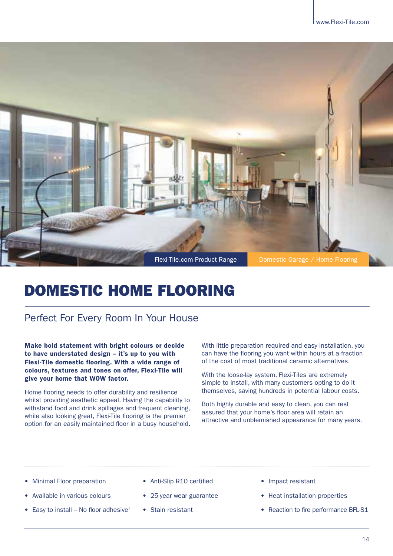

## DOMESTIC HOME FLOORING

### Perfect For Every Room In Your House

Make bold statement with bright colours or decide to have understated design – it's up to you with Flexi-Tile domestic flooring. With a wide range of colours, textures and tones on offer, Flexi-Tile will give your home that WOW factor.

Home flooring needs to offer durability and resilience whilst providing aesthetic appeal. Having the capability to withstand food and drink spillages and frequent cleaning, while also looking great, Flexi-Tile flooring is the premier option for an easily maintained floor in a busy household. With little preparation required and easy installation, you can have the fooring you want within hours at a fraction of the cost of most traditional ceramic alternatives.

With the loose-lay system, Flexi-Tiles are extremely simple to install, with many customers opting to do it themselves, saving hundreds in potential labour costs.

Both highly durable and easy to clean, you can rest assured that your home's floor area will retain an attractive and unblemished appearance for many years.

- Minimal Floor preparation
- Available in various colours
- Easy to install No floor adhesive<sup>†</sup>
- Anti-Slip R10 certified
- 25-year wear guarantee
- Stain resistant
- Impact resistant
- Heat installation properties
- Reaction to fire performance BFL-S1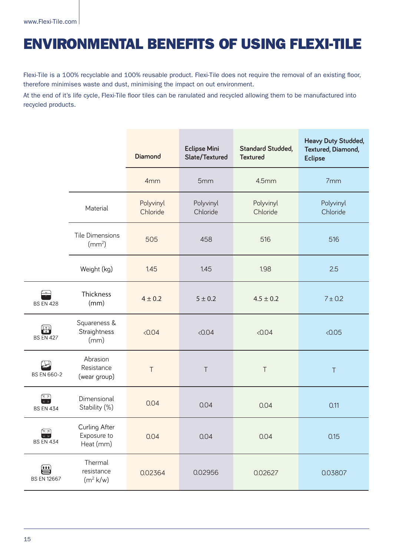### ENVIRONMENTAL BENEFITS OF USING FLEXI-TILE

Flexi-Tile is a 100% recyclable and 100% reusable product. Flexi-Tile does not require the removal of an existing floor, therefore minimises waste and dust, minimising the impact on out environment.

At the end of it's life cycle, Flexi-Tile foor tiles can be ranulated and recycled allowing them to be manufactured into recycled products.

|                                                                                                                             |                                              | <b>Diamond</b>        | <b>Eclipse Mini</b><br>Slate/Textured | <b>Standard Studded,</b><br><b>Textured</b> | <b>Heavy Duty Studded,</b><br>Textured, Diamond,<br><b>Eclipse</b> |
|-----------------------------------------------------------------------------------------------------------------------------|----------------------------------------------|-----------------------|---------------------------------------|---------------------------------------------|--------------------------------------------------------------------|
|                                                                                                                             |                                              | 4mm                   | 5mm                                   | 4.5mm                                       | 7mm                                                                |
|                                                                                                                             | Material                                     | Polyvinyl<br>Chloride | Polyvinyl<br>Chloride                 | Polyvinyl<br>Chloride                       | Polyvinyl<br>Chloride                                              |
|                                                                                                                             | <b>Tile Dimensions</b><br>(mm <sup>2</sup> ) | 505                   | 458                                   | 516                                         | 516                                                                |
|                                                                                                                             | Weight (kg)                                  | 1.45                  | 1.45                                  | 1.98                                        | 2.5                                                                |
| $\approx$<br><b>BS EN 428</b>                                                                                               | <b>Thickness</b><br>(mm)                     | $4 \pm 0.2$           | $5 \pm 0.2$                           | $4.5 \pm 0.2$                               | 7 ± 0.2                                                            |
| $\bigoplus$<br><b>BS EN 427</b>                                                                                             | Squareness &<br>Straightness<br>(mm)         | < 0.04                | < 0.04                                | < 0.04                                      | < 0.05                                                             |
| <b>BS EN 660-2</b>                                                                                                          | Abrasion<br>Resistance<br>(wear group)       | $\top$                | $\top$                                | $\top$                                      | $\top$                                                             |
| $\begin{array}{c} \hline \overline{K} \ \overline{X} \\ \hline \overline{K} \ \overline{X} \end{array}$<br><b>BS EN 434</b> | Dimensional<br>Stability (%)                 | 0.04                  | 0.04                                  | 0.04                                        | 0.11                                                               |
| $\begin{array}{c}\n\hline\n\kappa & \lambda \\ \hline\n\kappa & \lambda\n\end{array}$<br><b>BS EN 434</b>                   | Curling After<br>Exposure to<br>Heat (mm)    | 0.04                  | 0.04                                  | 0.04                                        | 0.15                                                               |
| ₩<br><b>BS EN 12667</b>                                                                                                     | Thermal<br>resistance<br>$(m^2 k/w)$         | 0.02364               | 0.02956                               | 0.02627                                     | 0.03807                                                            |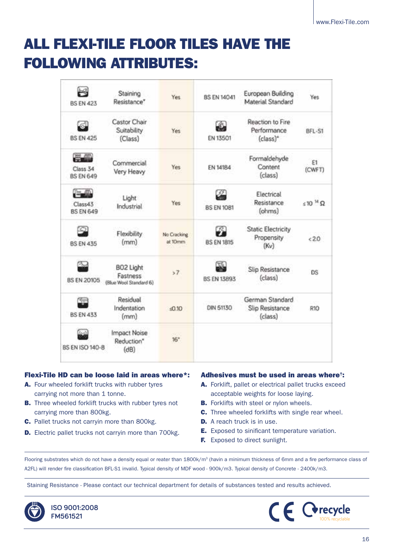## ALL FLEXI-TILE FLOOR TILES HAVE THE FOLLOWING ATTRIBUTES:

| <b>BS FN 423</b>                                                   | Staining<br>Resistance <sup>*</sup>             | Yes                    | <b>BS EN 14041</b> | European Building<br>Material Standard          | Yes               |
|--------------------------------------------------------------------|-------------------------------------------------|------------------------|--------------------|-------------------------------------------------|-------------------|
| പ്പ<br><b>BS EN 425</b>                                            | Castor Chair<br>Suitability<br>(Class)          | Yes:                   | EN 13501           | Reaction to Fire<br>Performance<br>(class)*     | BFL-S1            |
| <b>The Column of the Column of</b><br>Class 34<br><b>BS EN 649</b> | Commercial<br>Very Heavy                        | Yes                    | EN 14184           | Formaldehyde<br>Content<br>(class)              | E1<br>(CWFT)      |
| <b>Computer</b><br>Class43<br><b>BS EN 649</b>                     | Light<br>Industrial                             | Yes                    | <b>BS EN 1081</b>  | Electrical<br>Resistance<br>(ohms)              | $510^{14} \Omega$ |
| <b>BS EN 435</b>                                                   | Flexibility<br>(mm)                             | No Cracking<br>at 10mm | <b>BS EN 1815</b>  | <b>Static Electricity</b><br>Propensity<br>(Kv) | < 2.0             |
| <b>BS EN 20105</b>                                                 | BO2 Light<br>Fastness<br>(Blue Wool Standard 6) | 57                     | <b>BS EN 13893</b> | Slip Resistance<br>(class)                      | <b>DS</b>         |
| <b>BS EN 433</b>                                                   | Residual<br>Indentation<br>(mm)                 | $-0.10$                | DIN 51130          | German Standard<br>Slip Resistance<br>(class)   | R10               |
| <b>BS EN ISO 140-8</b>                                             | Impact Noise<br>Reduction*<br>(dB)              | $16*$                  |                    |                                                 |                   |

#### Flexi-Tile HD can be loose laid in areas where\*:

- A. Four wheeled forklift trucks with rubber tyres carrying not more than 1 tonne.
- **B.** Three wheeled forklift trucks with rubber tyres not carrying more than 800kg.
- C. Pallet trucks not carryin more than 800kg.
- D. Electric pallet trucks not carryin more than 700kg.

#### Adhesives must be used in areas where†:

- A. Forklift, pallet or electrical pallet trucks exceed acceptable weights for loose laying.
- **B.** Forklifts with steel or nylon wheels.
- C. Three wheeled forklifts with single rear wheel.
- **D.** A reach truck is in use.
- **E.** Exposed to sinificant temperature variation.
- **F.** Exposed to direct sunlight.

Flooring substrates which do not have a density equal or reater than 1800k/m<sup>3</sup> (havin a minimum thickness of 6mm and a fire performance class of A2FL) will render fre classifcation BFL-S1 invalid. Typical density of MDF wood - 900k/m3. Typical density of Concrete - 2400k/m3.

Staining Resistance - Please contact our technical department for details of substances tested and results achieved.



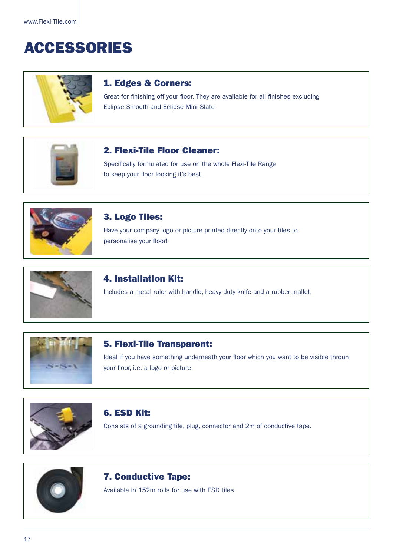## ACCESSORIES



#### 1. Edges & Corners:

Great for finishing off your floor. They are available for all finishes excluding Eclipse Smooth and Eclipse Mini Slate.



#### 2. Flexi-Tile Floor Cleaner:

Specifically formulated for use on the whole Flexi-Tile Range to keep your floor looking it's best.



#### 3. Logo Tiles:

Have your company logo or picture printed directly onto your tiles to personalise your floor!



#### 4. Installation Kit:

Includes a metal ruler with handle, heavy duty knife and a rubber mallet.



#### 5. Flexi-Tile Transparent:

Ideal if you have something underneath your floor which you want to be visible throuh your floor, i.e. a logo or picture.



#### 6. ESD Kit:

Consists of a grounding tile, plug, connector and 2m of conductive tape.



#### 7. Conductive Tape:

Available in 152m rolls for use with ESD tiles.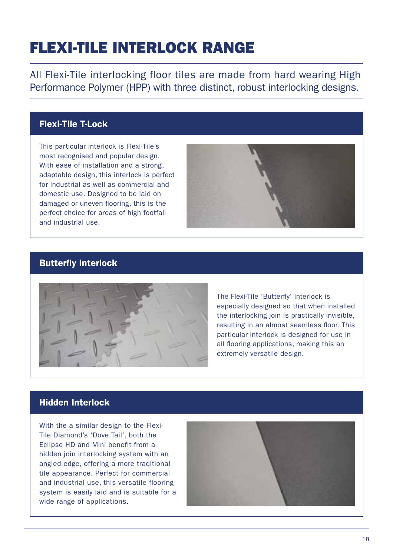## FLEXI-TILE INTERLOCK RANGE

All Flexi-Tile interlocking floor tiles are made from hard wearing High Performance Polymer (HPP) with three distinct, robust interlocking designs.

#### Flexi-Tile T-Lock

This particular interlock is Flexi-Tile's most recognised and popular design. With ease of installation and a strong, adaptable design, this interlock is perfect for industrial as well as commercial and domestic use. Designed to be laid on damaged or uneven fooring, this is the perfect choice for areas of high footfall and industrial use.



#### Butterfly Interlock



The Flexi-Tile 'Butterfy' interlock is especially designed so that when installed the interlocking join is practically invisible, resulting in an almost seamless floor. This particular interlock is designed for use in all flooring applications, making this an extremely versatile design.

#### Hidden Interlock

With the a similar design to the Flexi-Tile Diamond's 'Dove Tail', both the Eclipse HD and Mini benefit from a hidden join interlocking system with an angled edge, offering a more traditional tile appearance. Perfect for commercial and industrial use, this versatile flooring system is easily laid and is suitable for a wide range of applications.